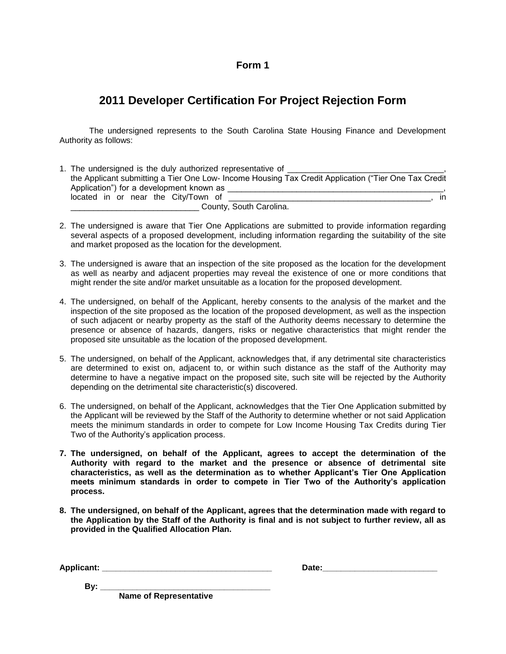#### **Form 1**

# **2011 Developer Certification For Project Rejection Form**

The undersigned represents to the South Carolina State Housing Finance and Development Authority as follows:

| 1. The undersigned is the duly authorized representative of                                         |
|-----------------------------------------------------------------------------------------------------|
| the Applicant submitting a Tier One Low-Income Housing Tax Credit Application ("Tier One Tax Credit |
| Application") for a development known as                                                            |
| located in or near the City/Town of<br>$\mathsf{In}$                                                |
| County, South Carolina.                                                                             |

- 2. The undersigned is aware that Tier One Applications are submitted to provide information regarding several aspects of a proposed development, including information regarding the suitability of the site and market proposed as the location for the development.
- 3. The undersigned is aware that an inspection of the site proposed as the location for the development as well as nearby and adjacent properties may reveal the existence of one or more conditions that might render the site and/or market unsuitable as a location for the proposed development.
- 4. The undersigned, on behalf of the Applicant, hereby consents to the analysis of the market and the inspection of the site proposed as the location of the proposed development, as well as the inspection of such adjacent or nearby property as the staff of the Authority deems necessary to determine the presence or absence of hazards, dangers, risks or negative characteristics that might render the proposed site unsuitable as the location of the proposed development.
- 5. The undersigned, on behalf of the Applicant, acknowledges that, if any detrimental site characteristics are determined to exist on, adjacent to, or within such distance as the staff of the Authority may determine to have a negative impact on the proposed site, such site will be rejected by the Authority depending on the detrimental site characteristic(s) discovered.
- 6. The undersigned, on behalf of the Applicant, acknowledges that the Tier One Application submitted by the Applicant will be reviewed by the Staff of the Authority to determine whether or not said Application meets the minimum standards in order to compete for Low Income Housing Tax Credits during Tier Two of the Authority's application process.
- **7. The undersigned, on behalf of the Applicant, agrees to accept the determination of the Authority with regard to the market and the presence or absence of detrimental site characteristics, as well as the determination as to whether Applicant's Tier One Application meets minimum standards in order to compete in Tier Two of the Authority's application process.**
- **8. The undersigned, on behalf of the Applicant, agrees that the determination made with regard to the Application by the Staff of the Authority is final and is not subject to further review, all as provided in the Qualified Allocation Plan.**

| <b>Applicant</b> | ___ |  |
|------------------|-----|--|
|------------------|-----|--|

 **By: \_\_\_\_\_\_\_\_\_\_\_\_\_\_\_\_\_\_\_\_\_\_\_\_\_\_\_\_\_\_\_\_\_\_\_\_\_**

**Name of Representative**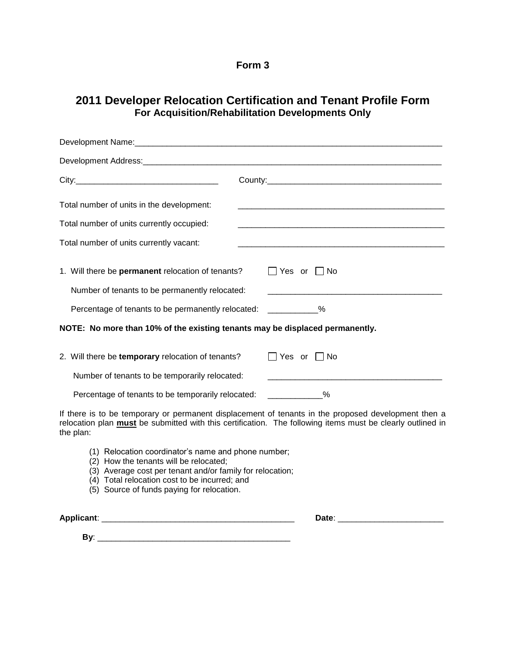#### **Form 3**

### **2011 Developer Relocation Certification and Tenant Profile Form For Acquisition/Rehabilitation Developments Only**

| Development Name: international control of the control of the control of the control of the control of the control of the control of the control of the control of the control of the control of the control of the control of |                                                                                                                                                                                                                   |
|--------------------------------------------------------------------------------------------------------------------------------------------------------------------------------------------------------------------------------|-------------------------------------------------------------------------------------------------------------------------------------------------------------------------------------------------------------------|
|                                                                                                                                                                                                                                |                                                                                                                                                                                                                   |
|                                                                                                                                                                                                                                |                                                                                                                                                                                                                   |
| Total number of units in the development:                                                                                                                                                                                      |                                                                                                                                                                                                                   |
| Total number of units currently occupied:                                                                                                                                                                                      |                                                                                                                                                                                                                   |
| Total number of units currently vacant:                                                                                                                                                                                        |                                                                                                                                                                                                                   |
| 1. Will there be <b>permanent</b> relocation of tenants?                                                                                                                                                                       | $\Box$ Yes or $\Box$ No                                                                                                                                                                                           |
| Number of tenants to be permanently relocated:                                                                                                                                                                                 |                                                                                                                                                                                                                   |
| Percentage of tenants to be permanently relocated: ___________%                                                                                                                                                                |                                                                                                                                                                                                                   |
| NOTE: No more than 10% of the existing tenants may be displaced permanently.                                                                                                                                                   |                                                                                                                                                                                                                   |
| 2. Will there be temporary relocation of tenants?                                                                                                                                                                              | $\Box$ Yes or $\Box$ No                                                                                                                                                                                           |
| Number of tenants to be temporarily relocated:                                                                                                                                                                                 | <u> 1989 - Johann Stoff, deutscher Stoff, der Stoff, der Stoff, der Stoff, der Stoff, der Stoff, der Stoff, der S</u>                                                                                             |
| Percentage of tenants to be temporarily relocated: ____________%                                                                                                                                                               |                                                                                                                                                                                                                   |
| the plan:                                                                                                                                                                                                                      | If there is to be temporary or permanent displacement of tenants in the proposed development then a<br>relocation plan must be submitted with this certification. The following items must be clearly outlined in |
| (1) Relocation coordinator's name and phone number;<br>(2) How the tenants will be relocated;<br>$(2)$ Average cost per tensor and/or family for relacation.                                                                   |                                                                                                                                                                                                                   |

- (3) Average cost per tenant and/or family for relocation; (4) Total relocation cost to be incurred; and
- (5) Source of funds paying for relocation.

**Applicant**: \_\_\_\_\_\_\_\_\_\_\_\_\_\_\_\_\_\_\_\_\_\_\_\_\_\_\_\_\_\_\_\_\_\_\_\_\_\_\_\_\_\_ **Date**: \_\_\_\_\_\_\_\_\_\_\_\_\_\_\_\_\_\_\_\_\_\_\_

 **By**: \_\_\_\_\_\_\_\_\_\_\_\_\_\_\_\_\_\_\_\_\_\_\_\_\_\_\_\_\_\_\_\_\_\_\_\_\_\_\_\_\_\_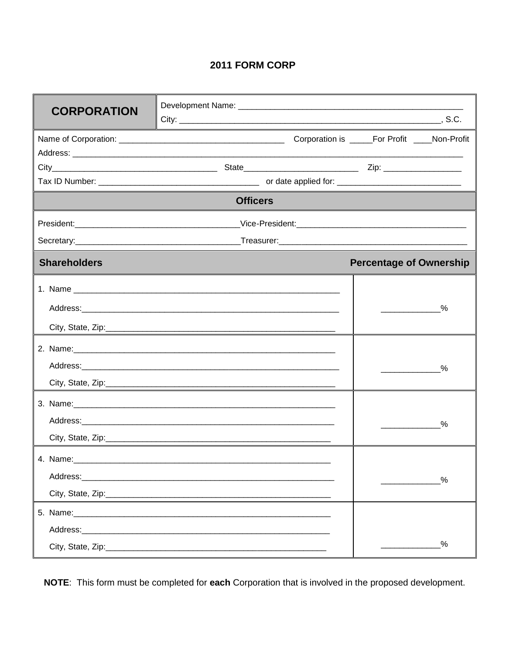## 2011 FORM CORP

| <b>CORPORATION</b>  |                                                                                                               |                                                 |
|---------------------|---------------------------------------------------------------------------------------------------------------|-------------------------------------------------|
|                     |                                                                                                               |                                                 |
|                     |                                                                                                               |                                                 |
|                     |                                                                                                               |                                                 |
|                     | <b>Officers</b>                                                                                               |                                                 |
|                     |                                                                                                               |                                                 |
|                     |                                                                                                               |                                                 |
| <b>Shareholders</b> |                                                                                                               | <b>Percentage of Ownership</b>                  |
|                     |                                                                                                               | %<br><b>Contract Contract Contract Contract</b> |
|                     | 2. Name: 2008. 2008. 2009. 2010. 2010. 2010. 2010. 2010. 2010. 2010. 2010. 2010. 2010. 2010. 2010. 2010. 2010 | %<br><b>Contract Contract Contract Contract</b> |
|                     | Address: Address: Address: Address: Address: Address: Address: Address: Address: Address: Address: A          | %                                               |
| 4. Name:            |                                                                                                               | %                                               |
|                     |                                                                                                               | %                                               |

NOTE: This form must be completed for each Corporation that is involved in the proposed development.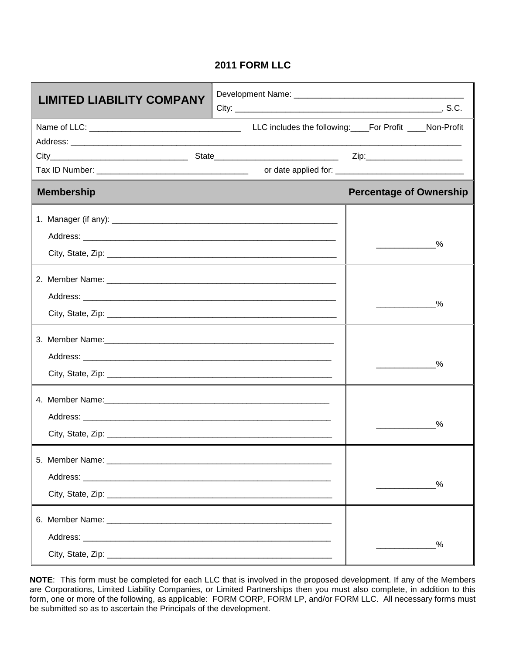### **2011 FORM LLC**

| <b>LIMITED LIABILITY COMPANY</b>                                                                               |                                |
|----------------------------------------------------------------------------------------------------------------|--------------------------------|
|                                                                                                                |                                |
|                                                                                                                |                                |
|                                                                                                                |                                |
| <b>Membership</b>                                                                                              | <b>Percentage of Ownership</b> |
|                                                                                                                | %                              |
|                                                                                                                | $\%$                           |
|                                                                                                                | %                              |
| 4. Member Name: 2008 and 2008 and 2008 and 2008 and 2008 and 2008 and 2008 and 2008 and 2008 and 2008 and 2008 | %                              |
|                                                                                                                | %                              |
|                                                                                                                | %                              |

**NOTE**: This form must be completed for each LLC that is involved in the proposed development. If any of the Members are Corporations, Limited Liability Companies, or Limited Partnerships then you must also complete, in addition to this form, one or more of the following, as applicable: FORM CORP, FORM LP, and/or FORM LLC. All necessary forms must be submitted so as to ascertain the Principals of the development.